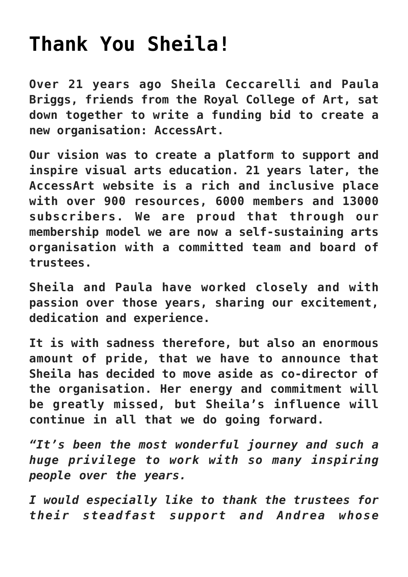## **[Thank You Sheila!](https://www.accessart.org.uk/thank-you-sheila/)**

**Over 21 years ago Sheila Ceccarelli and Paula Briggs, friends from the Royal College of Art, sat down together to write a funding bid to create a new organisation: AccessArt.**

**Our vision was to create a platform to support and inspire visual arts education. 21 years later, the AccessArt website is a rich and inclusive place with over 900 resources, 6000 members and 13000 subscribers. We are proud that through our membership model we are now a self-sustaining arts organisation with a committed team and board of trustees.**

**Sheila and Paula have worked closely and with passion over those years, sharing our excitement, dedication and experience.**

**It is with sadness therefore, but also an enormous amount of pride, that we have to announce that Sheila has decided to move aside as co-director of the organisation. Her energy and commitment will be greatly missed, but Sheila's influence will continue in all that we do going forward.**

*"It's been the most wonderful journey and such a huge privilege to work with so many inspiring people over the years.*

*I would especially like to thank the trustees for their steadfast support and Andrea whose*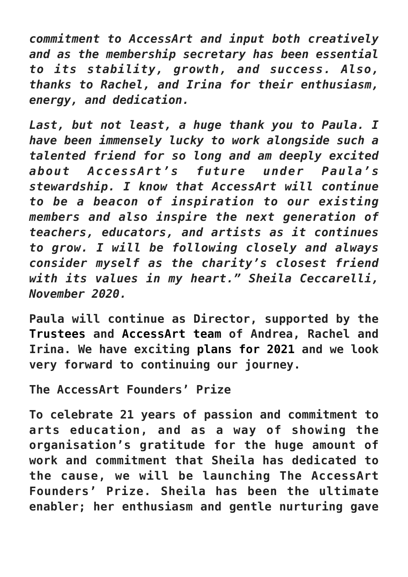*commitment to AccessArt and input both creatively and as the membership secretary has been essential to its stability, growth, and success. Also, thanks to Rachel, and Irina for their enthusiasm, energy, and dedication.*

*Last, but not least, a huge thank you to Paula. I have been immensely lucky to work alongside such a talented friend for so long and am deeply excited about AccessArt's future under Paula's stewardship. I know that AccessArt will continue to be a beacon of inspiration to our existing members and also inspire the next generation of teachers, educators, and artists as it continues to grow. I will be following closely and always consider myself as the charity's closest friend with its values in my heart." Sheila Ceccarelli, November 2020.*

**Paula will continue as Director, supported by the [Trustees](https://www.accessart.org.uk/inspirational-visual-arts-resources/board-of-trustees/) and [AccessArt team](https://www.accessart.org.uk/teamaccessart/) of Andrea, Rachel and Irina. We have exciting [plans for 2021 a](https://www.accessart.org.uk/accessart-areas-for-development-2021/)nd we look very forward to continuing our journey.**

**The AccessArt Founders' Prize**

**To celebrate 21 years of passion and commitment to arts education, and as a way of showing the organisation's gratitude for the huge amount of work and commitment that Sheila has dedicated to the cause, we will be launching The AccessArt Founders' Prize. Sheila has been the ultimate enabler; her enthusiasm and gentle nurturing gave**